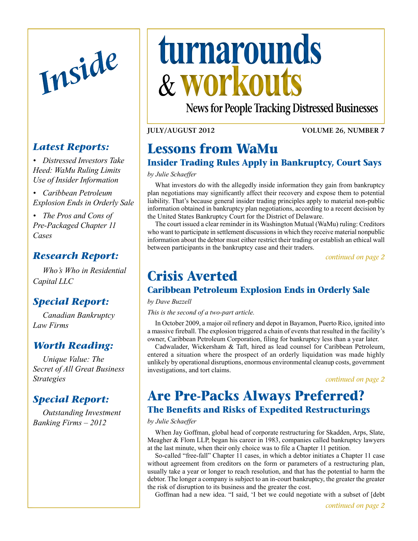

## *Latest Reports:*

- *• Distressed Investors Take Heed: WaMu Ruling Limits Use of Insider Information*
- *• Caribbean Petroleum Explosion Ends in Orderly Sale*
- *• The Pros and Cons of Pre-Packaged Chapter 11 Cases*

## *Research Report:*

*Who's Who in Residential Capital LLC*

## *[Special Report:](#page-4-0)*

*[Canadian Bankruptcy](#page-4-0)  [Law Firms](#page-4-0)*

## *[Worth Reading:](#page-5-0)*

*[Unique Value: The](#page-5-0)  [Secret of All Great Business](#page-5-0)  [Strategies](#page-5-0)* 

## *[Special Report:](#page-6-0)*

*[Outstanding Investment](#page-6-0)  [Banking Firms – 2012](#page-6-0)*

# <span id="page-0-0"></span>*Inside* **turnarounds workouts**

**News for People Tracking Distressed Businesses**

#### **July/August 2012**

**Volume 26, Number 7**

## **Lessons from WaMu**

## **Insider Trading Rules Apply in Bankruptcy, Court Says**

#### *by Julie Schaeffer*

What investors do with the allegedly inside information they gain from bankruptcy plan negotiations may significantly affect their recovery and expose them to potential liability. That's because general insider trading principles apply to material non-public information obtained in bankruptcy plan negotiations, according to a recent decision by the United States Bankruptcy Court for the District of Delaware.

The court issued a clear reminder in its Washington Mutual (WaMu) ruling: Creditors who want to participate in settlement discussions in which they receive material nonpublic information about the debtor must either restrict their trading or establish an ethical wall between participants in the bankruptcy case and their traders.

*[continued on page 2](#page-1-1)*

## **Crisis Averted**

## **Caribbean Petroleum Explosion Ends in Orderly Sale**

#### *by Dave Buzzell*

*This is the second of a two-part article.*

In October 2009, a major oil refinery and depot in Bayamon, Puerto Rico, ignited into a massive fireball. The explosion triggered a chain of events that resulted in the facility's owner, Caribbean Petroleum Corporation, filing for bankruptcy less than a year later.

Cadwalader, Wickersham & Taft, hired as lead counsel for Caribbean Petroleum, entered a situation where the prospect of an orderly liquidation was made highly unlikely by operational disruptions, enormous environmental cleanup costs, government investigations, and tort claims.

*[continued on page 2](#page-1-0)*

## **Are Pre-Packs Always Preferred? The Benefits and Risks of Expedited Restructurings**

#### *by Julie Schaeffer*

When Jay Goffman, global head of corporate restructuring for Skadden, Arps, Slate, Meagher & Flom LLP, began his career in 1983, companies called bankruptcy lawyers at the last minute, when their only choice was to file a Chapter 11 petition.

So-called "free-fall" Chapter 11 cases, in which a debtor initiates a Chapter 11 case without agreement from creditors on the form or parameters of a restructuring plan, usually take a year or longer to reach resolution, and that has the potential to harm the debtor. The longer a company is subject to an in-court bankruptcy, the greater the greater the risk of disruption to its business and the greater the cost.

Goffman had a new idea. "I said, 'I bet we could negotiate with a subset of [debt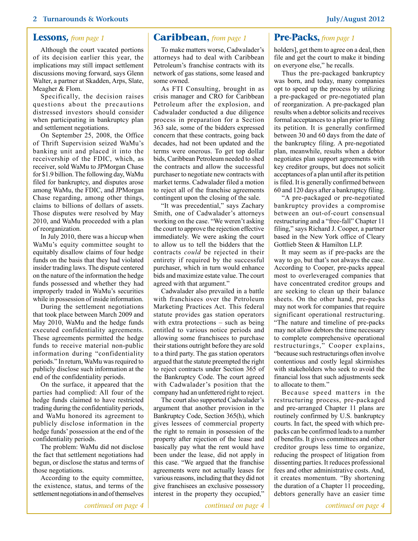#### **2 Turnarounds & Workouts July/August 2012**

Although the court vacated portions of its decision earlier this year, the implications may still impact settlement discussions moving forward, says Glenn Walter, a partner at Skadden, Arps, Slate, Meagher & Flom.

Specifically, the decision raises questions about the precautions distressed investors should consider when participating in bankruptcy plan and settlement negotiations.

On September 25, 2008, the Office of Thrift Supervision seized WaMu's banking unit and placed it into the receivership of the FDIC, which, as receiver, sold WaMu to JPMorgan Chase for \$1.9 billion. The following day, WaMu filed for bankruptcy, and disputes arose among WaMu, the FDIC, and JPMorgan Chase regarding, among other things, claims to billions of dollars of assets. Those disputes were resolved by May 2010, and WaMu proceeded with a plan of reorganization.

In July 2010, there was a hiccup when WaMu's equity committee sought to equitably disallow claims of four hedge funds on the basis that they had violated insider trading laws. The dispute centered on the nature of the information the hedge funds possessed and whether they had improperly traded in WaMu's securities while in possession of inside information.

During the settlement negotiations that took place between March 2009 and May 2010, WaMu and the hedge funds executed confidentiality agreements. These agreements permitted the hedge funds to receive material non-public information during "confidentiality periods." In return, WaMu was required to publicly disclose such information at the end of the confidentiality periods.

On the surface, it appeared that the parties had complied: All four of the hedge funds claimed to have restricted trading during the confidentiality periods, and WaMu honored its agreement to publicly disclose information in the hedge funds' possession at the end of the confidentiality periods.

The problem: WaMu did not disclose the fact that settlement negotiations had begun, or disclose the status and terms of those negotiations.

According to the equity committee, the existence, status, and terms of the settlement negotiations in and of themselves

#### <span id="page-1-1"></span>**Lessons,** *from page 1* **[Caribbean](#page-1-0),** *from page 1* **Pre-Packs,** *from page 1*

<span id="page-1-0"></span>To make matters worse, Cadwalader's attorneys had to deal with Caribbean Petroleum's franchise contracts with its network of gas stations, some leased and some owned.

As FTI Consulting, brought in as crisis manager and CRO for Caribbean Petroleum after the explosion, and Cadwalader conducted a due diligence process in preparation for a Section 363 sale, some of the bidders expressed concern that these contracts, going back decades, had not been updated and the terms were onerous. To get top dollar bids, Caribbean Petroleum needed to shed the contracts and allow the successful purchaser to negotiate new contracts with market terms. Cadwalader filed a motion to reject all of the franchise agreements contingent upon the closing of the sale.

"It was precedential," says Zachary Smith, one of Cadwalader's attorneys working on the case. "We weren't asking the court to approve the rejection effective immediately. We were asking the court to allow us to tell the bidders that the contracts *could* be rejected in their entirety if required by the successful purchaser, which in turn would enhance bids and maximize estate value. The court agreed with that argument."

Cadwalader also prevailed in a battle with franchisees over the Petroleum Marketing Practices Act. This federal statute provides gas station operators with extra protections – such as being entitled to various notice periods and allowing some franchisees to purchase their stations outright before they are sold to a third party. The gas station operators argued that the statute preempted the right to reject contracts under Section 365 of the Bankruptcy Code. The court agreed with Cadwalader's position that the company had an unfettered right to reject.

The court also supported Cadwalader's argument that another provision in the Bankruptcy Code, Section 365(h), which gives lessees of commercial property the right to remain in possession of the property after rejection of the lease and basically pay what the rent would have been under the lease, did not apply in this case. "We argued that the franchise agreements were not actually leases for various reasons, including that they did not give franchisees an exclusive possessory interest in the property they occupied,"

<span id="page-1-2"></span>

holders], get them to agree on a deal, then file and get the court to make it binding on everyone else," he recalls.

Thus the pre-packaged bankruptcy was born, and today, many companies opt to speed up the process by utilizing a pre-packaged or pre-negotiated plan of reorganization. A pre-packaged plan results when a debtor solicits and receives formal acceptances to a plan prior to filing its petition. It is generally confirmed between 30 and 60 days from the date of the bankruptcy filing. A pre-negotiated plan, meanwhile, results when a debtor negotiates plan support agreements with key creditor groups, but does not solicit acceptances of a plan until after its petition is filed. It is generally confirmed between 60 and 120 days after a bankruptcy filing.

"A pre-packaged or pre-negotiated bankruptcy provides a compromise between an out-of-court consensual restructuring and a "free-fall" Chapter 11 filing," says Richard J. Cooper, a partner based in the New York office of Cleary Gottlieb Steen & Hamilton LLP.

It may seem as if pre-packs are the way to go, but that's not always the case. According to Cooper, pre-packs appeal most to overleveraged companies that have concentrated creditor groups and are seeking to clean up their balance sheets. On the other hand, pre-packs may not work for companies that require significant operational restructuring. "The nature and timeline of pre-packs may not allow debtors the time necessary to complete comprehensive operational restructurings," Cooper explains, "because such restructurings often involve contentious and costly legal skirmishes with stakeholders who seek to avoid the financial loss that such adjustments seek to allocate to them."

Because speed matters in the restructuring process, pre-packaged and pre-arranged Chapter 11 plans are routinely confirmed by U.S. bankruptcy courts. In fact, the speed with which prepacks can be confirmed leads to a number of benefits. It gives committees and other creditor groups less time to organize, reducing the prospect of litigation from dissenting parties. It reduces professional fees and other administrative costs. And, it creates momentum. "By shortening the duration of a Chapter 11 proceeding, debtors generally have an easier time

*[continued on page 4](#page-3-0)*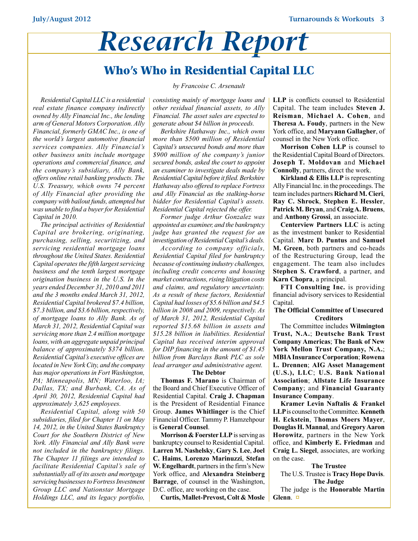# *Research Report*

## **Who's Who in Residential Capital LLC**

*by Francoise C. Arsenault*

*Residential Capital LLC is a residential real estate finance company indirectly owned by Ally Financial Inc., the lending arm of General Motors Corporation. Ally Financial, formerly GMAC Inc., is one of the world's largest automotive financial services companies. Ally Financial's other business units include mortgage operations and commercial finance, and the company's subsidiary, Ally Bank, offers online retail banking products. The U.S. Treasury, which owns 74 percent of Ally Financial after providing the company with bailout funds, attempted but was unable to find a buyer for Residential Capital in 2010.* 

*The principal activities of Residential Capital are brokering, originating, purchasing, selling, securitizing, and servicing residential mortgage loans throughout the United States. Residential Capital operates the fifth largest servicing business and the tenth largest mortgage origination business in the U.S. In the years ended December 31, 2010 and 2011 and the 3 months ended March 31, 2012, Residential Capital brokered \$7.4 billion, \$7.3 billion, and \$3.6 billion, respectively, of mortgage loans to Ally Bank. As of March 31, 2012, Residential Capital was servicing more than 2.4 million mortgage loans, with an aggregate unpaid principal balance of approximately \$374 billion. Residential Capital's executive offices are located in New York City, and the company has major operations in Fort Washington, PA; Minneapolis, MN; Waterloo, IA; Dallas, TX; and Burbank, CA. As of April 30, 2012, Residential Capital had approximately 3,625 employees.*

*Residential Capital, along with 50 subsidiaries, filed for Chapter 11 on May 14, 2012, in the United States Bankruptcy Court for the Southern District of New York. Ally Financial and Ally Bank were not included in the bankruptcy filings. The Chapter 11 filings are intended to facilitate Residential Capital's sale of substantially all of its assets and mortgage servicing businesses to Fortress Investment Group LLC and Nationstar Mortgage Holdings LLC, and its legacy portfolio,* 

*consisting mainly of mortgage loans and other residual financial assets, to Ally Financial. The asset sales are expected to generate about \$4 billion in proceeds.*

*Berkshire Hathaway Inc., which owns more than \$500 million of Residential Capital's unsecured bonds and more than \$900 million of the company's junior secured bonds, asked the court to appoint an examiner to investigate deals made by Residential Capital before it filed. Berkshire Hathaway also offered to replace Fortress and Ally Financial as the stalking-horse bidder for Residential Capital's assets. Residential Capital rejected the offer.* 

*Former judge Arthur Gonzalez was appointed as examiner, and the bankruptcy judge has granted the request for an investigation of Residential Capital's deals.* 

*According to company officials, Residential Capital filed for bankruptcy because of continuing industry challenges, including credit concerns and housing market contractions, rising litigation costs and claims, and regulatory uncertainty. As a result of these factors, Residential Capital had losses of \$5.6 billion and \$4.5 billion in 2008 and 2009, respectively. As of March 31, 2012, Residential Capital reported \$15.68 billion in assets and \$15.28 billion in liabilities. Residential Capital has received interim approval for DIP financing in the amount of \$1.45 billion from Barclays Bank PLC as sole lead arranger and administrative agent.*

#### **The Debtor**

**Thomas F. Marano** is Chairman of the Board and Chief Executive Officer of Residential Capital. **Craig J. Chapman** is the President of Residential Finance Group. **James Whitlinger** is the Chief Financial Officer. Tammy P. Hamzehpour is **General Counsel**.

**Morrison & Foerster LLP** is serving as bankruptcy counsel to Residential Capital. **Larren M. Nashelsky**, **Gary S. Lee**, **Joel C. Haims**, **Lorenzo Marinuzzi**, **Stefan W. Engelhardt**, partners in the firm's New York office, and **Alexandra Steinberg Barrage**, of counsel in the Washington, D.C. office, are working on the case.

**Curtis, Mallet-Prevost, Colt & Mosle** 

**LLP** is conflicts counsel to Residential Capital. The team includes **Steven J. Reisman**, **Michael A. Cohen**, and **Theresa A. Foudy**, partners in the New York office, and **Maryann Gallagher**, of counsel in the New York office.

**Morrison Cohen LLP** is counsel to the Residential Capital Board of Directors. **Joseph T. Moldovan** and **Michael Connolly**, partners, direct the work.

**Kirkland & Ellis LLP** is representing Ally Financial Inc. in the proceedings. The team includes partners **Richard M. Cieri**, **Ray C. Shrock**, **Stephen E. Hessler**, **Patrick M. Bryan**, and **Craig A. Bruens**, and **Anthony Grossi**, an associate.

**Centerview Partners LLC** is acting as the investment banker to Residential Capital. **Marc D. Puntus** and **Samuel M. Green**, both partners and co-heads of the Restructuring Group, lead the engagement. The team also includes **Stephen S. Crawford**, a partner, and **Karn Chopra**, a principal.

**FTI Consulting Inc.** is providing financial advisory services to Residential Capital.

#### **The Official Committee of Unsecured Creditors**

The Committee includes **Wilmington Trust, N.A.**; **Deutsche Bank Trust Company Americas**; **The Bank of New York Mellon Trust Company, N.A.**; **MBIA Insurance Corporation**; **Rowena L. Drennen**; **AIG Asset Management (U.S.), LLC**; **U.S. Bank National Association**; **Allstate Life Insurance Company**; and **Financial Guaranty Insurance Company**.

**Kramer Levin Naftalis & Frankel LLP** is counsel to the Committee. **Kenneth H. Eckstein**, T**homas Moers Mayer**, **Douglas H. Mannal**, and **Gregory Aaron Horowitz**, partners in the New York office, and **Kimberly E. Friedman** and **Craig L. Siegel**, associates, are working on the case.

#### **The Trustee**

The U.S. Trustee is **Tracy Hope Davis**. **The Judge**

The judge is the **Honorable Martin Glenn**. **[¤](#page-0-0)**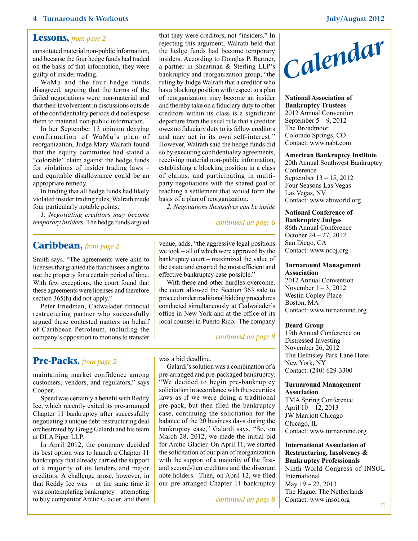#### <span id="page-3-0"></span>**Lessons,** *from page 2*

constituted material non-public information, and because the four hedge funds had traded on the basis of that information, they were guilty of insider trading.

WaMu and the four hedge funds disagreed, arguing that the terms of the failed negotiations were non-material and that their involvement in discussions outside of the confidentiality periods did not expose them to material non-public information.

In her September 13 opinion denying confirmation of WaMu's plan of reorganization, Judge Mary Walrath found that the equity committee had stated a "colorable" claim against the hedge funds for violations of insider trading laws – and equitable disallowance could be an appropriate remedy.

In finding that all hedge funds had likely violated insider trading rules, Walrath made four particularly notable points.

*1. Negotiating creditors may become temporary insiders.* The hedge funds argued

#### <span id="page-3-2"></span>**Caribbean,** *from page 2*

Smith says. "The agreements were akin to licenses that granted the franchisees a right to use the property for a certain period of time. With few exceptions, the court found that these agreements were licenses and therefore section 365(h) did not apply."

Peter Friedman, Cadwalader financial restructuring partner who successfully argued these contested matters on behalf of Caribbean Petroleum, including the company's opposition to motions to transfer

### <span id="page-3-1"></span>**Pre-Packs,** *from page 2*

maintaining market confidence among customers, vendors, and regulators," says Cooper.

Speed was certainly a benefit with Reddy Ice, which recently exited its pre-arranged Chapter 11 bankruptcy after successfully negotiating a unique debt-restructuring deal orchestrated by Gregg Galardi and his team at DLA Piper LLP.

In April 2012, the company decided its best option was to launch a Chapter 11 bankruptcy that already carried the support of a majority of its lenders and major creditors. A challenge arose, however, in that Reddy Ice was – at the same time it was contemplating bankruptcy – attempting to buy competitor Arctic Glacier, and there that they were creditors, not "insiders." In rejecting this argument, Walrath held that the hedge funds had become temporary insiders. According to Douglas P. Bartner, a partner in Shearman & Sterling LLP's bankruptcy and reorganization group, "the ruling by Judge Walrath that a creditor who has a blocking position with respect to a plan of reorganization may become an insider and thereby take on a fiduciary duty to other creditors within its class is a significant departure from the usual rule that a creditor owes no fiduciary duty to its fellow creditors and may act in its own self-interest." However, Walrath said the hedge funds did so by executing confidentiality agreements, receiving material non-public information, establishing a blocking position in a class of claims, and participating in multiparty negotiations with the shared goal of reaching a settlement that would form the basis of a plan of reorganization.

*2. Negotiations themselves can be inside* 

#### *[continued on page 6](#page-5-1)*

venue, adds, "the aggressive legal positions we took – all of which were approved by the bankruptcy court – maximized the value of the estate and ensured the most efficient and effective bankruptcy case possible."

With these and other hurdles overcome, the court allowed the Section 363 sale to proceed under traditional bidding procedures conducted simultaneously at Cadwalader's office in New York and at the office of its local counsel in Puerto Rico. The company

#### *[continued on page 8](#page-7-1)*

was a bid deadline.

Galardi's solution was a combination of a pre-arranged and pre-packaged bankruptcy. "We decided to begin pre-bankruptcy solicitation in accordance with the securities laws as if we were doing a traditional pre-pack, but then filed the bankruptcy case, continuing the solicitation for the balance of the 20 business days during the bankruptcy case," Galardi says. "So, on March 28, 2012, we made the initial bid for Arctic Glacier. On April 11, we started the solicitation of our plan of reorganization with the support of a majority of the firstand second-lien creditors and the discount note holders. Then, on April 12, we filed our pre-arranged Chapter 11 bankruptcy



**National Association of Bankruptcy Trustees** 2012 Annual Convention September 5 – 9, 2012 The Broadmoor Colorado Springs, CO Contact: www.nabt.com

#### **American Bankruptcy Institute**

20th Annual Southwest Bankruptcy Conference September 13 – 15, 2012 Four Seasons Las Vegas Las Vegas, NV Contact: www.abiworld.org

#### **National Conference of Bankruptcy Judges**

86th Annual Conference October 24 – 27, 2012 San Diego, CA Contact: www.ncbj.org

#### **Turnaround Management Association**

2012 Annual Convention November  $1 - 3$ , 2012 Westin Copley Place Boston, MA Contact: www.turnaround.org

#### **Beard Group**

19th Annual Conference on Distressed Investing November 26, 2012 The Helmsley Park Lane Hotel New York, NY Contact: (240) 629-3300

#### **Turnaround Management Association**

TMA Spring Conference April 10 – 12, 2013 JW Marriott Chicago Chicago, IL Contact: www.turnaround.org

**International Association of Restructuring, Insolvency & Bankruptcy Professionals** Ninth World Congress of INSOL International May 19 – 22, 2013 The Hague, The Netherlands *<u>[continued on page 8](#page-7-0)* Contact: www.insol.org</u>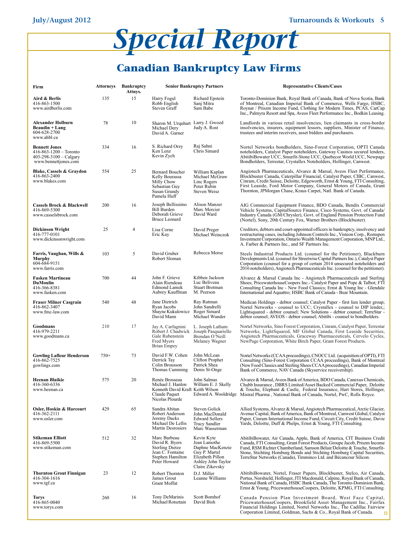

## <span id="page-4-0"></span>**Canadian Bankruptcy Law Firms**

| Firm                                                                                             | Attorneys | <b>Bankruptcy</b><br>Attnys. | <b>Senior Bankruptcy Partners</b>                                                                                |                                                                                                                              | <b>Representative Clients/Cases</b>                                                                                                                                                                                                                                                                                                                                                |
|--------------------------------------------------------------------------------------------------|-----------|------------------------------|------------------------------------------------------------------------------------------------------------------|------------------------------------------------------------------------------------------------------------------------------|------------------------------------------------------------------------------------------------------------------------------------------------------------------------------------------------------------------------------------------------------------------------------------------------------------------------------------------------------------------------------------|
| Aird & Berlis<br>416-863-1500<br>www.airdberlis.com                                              | 135       | 15                           | Harry Fogul<br>Robb English<br>Steven Graff                                                                      | Richard Epstein<br>Sanj Mitra<br>Sam Babe                                                                                    | Toronto-Dominion Bank, Royal Bank of Canada, Bank of Nova Scotia, Bank<br>of Montreal, Canadian Imperial Bank of Commerce, Wells Fargo, HSBC,<br>Roynat / Priszm Income Fund, Clothing for Modern Times, PCAS, CarCap<br>Inc., Palmyra Resort and Spa, Aveos Fleet Performance Inc., Bodkin Leasing.                                                                               |
| Alexander Holburn<br>Beaudin + Lang<br>604-628-2700<br>www.ahbl.ca                               | 78        | 10                           | Sharon M. Urquhart Larry J. Gwozd<br>Michael Derv<br>David A. Garner                                             | Judy A. Rost                                                                                                                 | Landlords in various retail insolvencies, lien claimants in cross-border<br>insolvencies, insurers, equipment lessors, suppliers, Minister of Finance,<br>trustees and interim receivers, asset bidders and purchasers.                                                                                                                                                            |
| <b>Bennett Jones</b><br>416-863-1200 - Toronto<br>403-298-3100 - Calgary<br>www.bennettjones.com | 334       | 16                           | S. Richard Orzy<br>Ken Lenz<br>Kevin Zych                                                                        | Raj Sahni<br>Chris Simard                                                                                                    | Nortel Networks bondholders, Sino-Forest Corporation, OPTI Canada<br>noteholders, Catalyst Paper noteholders, Gateway Casinos secured lenders,<br>AbitibiBowater UCC, Smurfit-Stone UCC, Quebecor World UCC, Newpage<br>Bondholders, Terrestar, Crystallex Noteholders, Hollinger, Canwest.                                                                                        |
| Blake, Cassels & Graydon<br>416-863-2400<br>www.blakes.com                                       | 554       | 25                           | <b>Bernard Boucher</b><br>Kelly Bourassa<br>Milly Chow<br>Sebastian Guy<br>Susan Grundy<br>Pamela Huff           | William Kaplan<br>Michael McGraw<br>Linc Rogers<br>Peter Rubin<br>Steven Weisz                                               | Angiotech Pharmaceuticals, Alvarez & Marsal, Aveos Fleet Performance,<br>Blockbuster Canada, Caterpillar Financial, Catalyst Paper, CIBC, Canwest,<br>Cinram, Credit Suisse, Deloitte, Edgeworth, Ernst & Young, FTI Consulting,<br>First Leaside, Ford Motor Company, General Motors of Canada, Grant<br>Thornton, JPMorgan Chase, Kraus Carpet, Natl. Bank of Canada.            |
| <b>Cassels Brock &amp; Blackwell</b><br>416-869-5300<br>www.casselsbrock.com                     | 200       | 16                           | Joseph Bellissimo<br>Bill Burden<br>Deborah Grieve<br><b>Bruce Leonard</b>                                       | Alison Manzer<br>Marc Mercier<br>David Ward                                                                                  | AIG Commercial Equipment Finance, BDO Canada, Bendix Commercial<br>Vehicle Systems, CapitalSource Finance, Cisco Systems, Govt. of Canada/<br>Industry Canada (GM/Chrysler), Govt. of England Pension Protection Fund<br>(Nortel), Sony, 20th Century Fox, Warner Brothers (Blockbuster).                                                                                          |
| Dickinson Wright<br>416-777-0101<br>www.dickinsonwright.com                                      | 25        | $\overline{4}$               | Lisa Corne<br>Eric Kay                                                                                           | David Preger<br>Michael Weinczok                                                                                             | Creditors, debtors and court-appointed officers in bankruptcy, insolvency and<br>restructuring cases, including Johnson Controls Inc., Visteon Corp., Romspen<br>Investment Corporation, Ontario Wealth Management Corporation, MNP Ltd.,<br>A. Farber & Partners Inc., and SF Partners Inc.                                                                                       |
| Farris, Vaughan, Wills &<br>Murphy<br>604-684-9151<br>www.farris.com                             | 103       | 5                            | David Gruber<br>Robert Sloman                                                                                    | Rebecca Morse                                                                                                                | Steels Industrial Products Ltd. (counsel for the Petitioner), Blackburn<br>Developments Ltd. (counsel for Streetwise Capital Partners Inc.), Catalyst Paper<br>Corporation (counsel for a group of certain 2014 unsecured noteholders and<br>2016 noteholders), Angiotech Pharmaceuticals Inc. (counsel for the petitioner).                                                       |
| <b>Fasken Martineau</b><br>DuMoulin<br>416-366-8381<br>www.fasken.com                            | 700       | 44                           | John F. Grieve<br>Alain Riendeau<br><b>Edmond Lamek</b><br>Aubrey Kauffman                                       | Kibben Jackson<br>Luc Beliveau<br><b>Stuart Brotman</b><br>M. Peerson                                                        | Alvarez & Marsal Canada Inc - Angiotech Pharmaceuticals and Sterling<br>Shoes; PricewaterhouseCoopers Inc.- Catalyst Paper and Pope & Talbot; FTI<br>Consulting Canada Inc - New Food Classics; Ernst & Young Inc - Glendale<br>International and Aquattro; HSBC Bank of Canada - Bear Mountain.                                                                                   |
| Fraser Milner Casgrain<br>416-862-3407<br>www.fmc-law.com                                        | 540       | 48                           | Jane Dietrich<br>Ryan Jacobs<br>Shayne Kukulowicz Roger Simard<br>David Mann                                     | Ray Rutman<br>John Sandrelli<br>Michael Wunder                                                                               | Medican Holdings - debtor counsel; Catalyst Paper - first lien lender group;<br>Nortel Networks - counsel to UCC; Crystallex - counsel to DIP lender,;<br>Lightsquared - debtor counsel; New Solutions - debtor counsel; TerreStar -<br>debtor counsel; AVEOS - debtor counsel; Abitibi - counsel to bondholders.                                                                  |
| Goodmans<br>416-979-2211<br>www.goodmans.ca                                                      | 210       | 17                           | Jay A. Carfagnini<br>Robert J. Chadwick<br>Gale Rubenstein<br>Fred Myers<br>Brian Empey                          | L. Joseph Latham<br>Joseph Pasquariello<br>Brendan O'Neill<br>Melaney Wagner                                                 | Nortel Networks, Sino Forest Corporation, Cinram, Catalyst Paper, Terrestar<br>Networks, LightSquared, MF Global Canada, First Leaside Securities,<br>Angiotech Pharmaceuticals, Graceway Pharmaceuticals, Cervelo Cycles,<br>NewPage Corporation, White Birch Paper, Grant Forest Products.                                                                                       |
| <b>Gowling Lafleur Henderson</b><br>416-862-7525<br>gowlings.com                                 | $750+$    | 73                           | David F.W. Cohen<br>Derrick Tay<br>Colin Brousson<br>Thomas Cumming                                              | John McLean<br>Clifton Prophet<br>Patrick Shea<br>Denis St-Onge                                                              | Nortel Networks (CCAA proceedings), CNOCC Ltd. (acquisition of OPTI), FTI<br>Consulting (Sino-Forest Corporation CCAA proceedings), Bank of Montreal<br>(New Food Classics and Sterling Shoes CCAA proceedings), Canadian Imperial<br>Bank of Commerce, NAV Canada (Skyservice receivership).                                                                                      |
| <b>Heenan Blaikie</b><br>416-360-6336<br>www.heenan.ca                                           | 575       | 20                           | Renée Brosseau<br>Michael J. Hanlon<br>Kenneth David Kraft Keith Wilson<br>Claude Paquet<br>Nicolas Plourde      | John Salmas<br>William E. J. Skelly                                                                                          | Alvarez & Marsal, Aveos Bank of America, BDO Canada, Canexus Chemicals,<br>Chubb Insurance, DBRS Limited/Asset Backed Commercial Paper, Deloitte<br>& Touche, Elephant & Castle, Federal Insurance, Hart Stores, Hollinger,<br>Edward A. Wooldridge Mistral Pharma, National Bank of Canada, Nortel, PwC, Rolls Royce.                                                             |
| Osler, Hoskin & Harcourt<br>416-362-2111<br>www.osler.com                                        | 429       | 65                           | Sandra Abitan<br>Robert Anderson<br>Jeremy Dacks<br>Michael De Lellis<br><b>Martin Desrosiers</b>                | <b>Steven Golick</b><br>John MacDonald<br><b>Edward Sellers</b><br><b>Tracy Sandler</b><br>Marc Wasserman                    | Allied Systems, Alvarez & Marsal, Angiotech Pharmaceutical, Arctic Glacier,<br>Avenue Capital, Bank of America, Bank of Montreal, Canwest Global, Catalyst<br>Paper, Cinram International Income Fund, Circuit City, Credit Suisse, Davie<br>Yards, Deloitte, Duff & Phelps, Ernst & Young, FTI Consulting.                                                                        |
| Stikeman Elliott<br>416-869-5500<br>www.stikeman.com                                             | 512       | 32                           | Marc Barbeau<br>David R. Byers<br><b>Sterling Dietze</b><br>Jean C. Fontaine<br>Stephen Hamilton<br>Peter Howard | Kevin Kyte<br>Jean Lamothe<br>Daphne MacKenzie<br>Guy P. Martel<br>Elizabeth Pillon<br>Ashley John Taylor<br>Claire Zikovsky | AbitibiBowater, Air Canada, Apple, Bank of America, CIT Business Credit<br>Canada, FTI Consulting, Grant Forest Products, Groupe Jacob, Priszm Income<br>Fund, RSM Richter Chamberland, Samson Bélair/Deloitte & Touche, Smurfit-<br>Stone, Stichting Homburg Bonds and Stichting Homburg Capital Securities,<br>TerreStar Networks (Canada), Timminco Ltd. and Bécancour Silicon. |
| <b>Thornton Grout Finnigan</b><br>416-304-1616<br>www.tgf.ca                                     | 23        | 12                           | Robert Thornton<br>James Grout<br>Grant Moffat                                                                   | D.J. Miller<br>Leanne Williams                                                                                               | AbitibiBowater, Nortel, Fraser Papers, Blockbuster, Stelco, Air Canada,<br>Portus, Norshield, Hollinger, JTI Macdonald, Calpine, Royal Bank of Canada,<br>National Bank of Canada, HSBC Bank Canada, The Toronto-Dominion Bank,<br>Ernst & Young, PricewaterhouseCoopers, Deloitte, KPMG, FTI Consulting.                                                                          |
| Torys<br>416-865-0040<br>www.torys.com                                                           | 260       | 16                           | Tony DeMarinis<br>Michael Rotsztain                                                                              | Scott Bomhof<br>David Bish                                                                                                   | Canada Pension Plan Investment Board, West Face Capital,<br>PricewaterhouseCoopers, Brookfield Asset Management Inc., Fairfax<br>Financial Holdings Limited, Nortel Networks Inc., The Cadillac Fairview<br>Corporation Limited, Goldman, Sachs & Co., Royal Bank of Canada.<br>$\sigma$                                                                                           |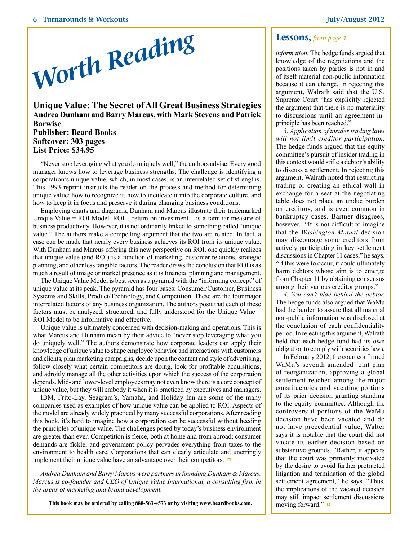

#### <span id="page-5-0"></span>**Unique Value: The Secret of All Great Business Strategies Andrea Dunham and Barry Marcus, with Mark Stevens and Patrick Barwise Publisher: Beard Books Softcover: 303 pages List Price: \$34.95**

"Never stop leveraging what you do uniquely well," the authors advise. Every good manager knows how to leverage business strengths. The challenge is identifying a corporation's unique value, which, in most cases, is an interrelated set of strengths. This 1993 reprint instructs the reader on the process and method for determining unique value: how to recognize it, how to inculcate it into the corporate culture, and how to keep it in focus and preserve it during changing business conditions.

Employing charts and diagrams, Dunham and Marcus illustrate their trademarked Unique Value = ROI Model. ROI – return on investment – is a familiar measure of business productivity. However, it is not ordinarily linked to something called "unique value." The authors make a compelling argument that the two are related. In fact, a case can be made that nearly every business achieves its ROI from its unique value. With Dunham and Marcus offering this new perspective on ROI, one quickly realizes that unique value (and ROI) is a function of marketing, customer relations, strategic planning, and other less tangible factors. The reader draws the conclusion that ROI is as much a result of image or market presence as it is financial planning and management.

The Unique Value Model is best seen as a pyramid with the "informing concept" of unique value at its peak. The pyramid has four bases: Consumer/Customer, Business Systems and Skills, Product/Technology, and Competition. These are the four major interrelated factors of any business organization. The authors posit that each of these factors must be analyzed, structured, and fully understood for the Unique Value = ROI Model to be informative and effective.

Unique value is ultimately concerned with decision-making and operations. This is what Marcus and Dunham mean by their advice to "never stop leveraging what you do uniquely well." The authors demonstrate how corporate leaders can apply their knowledge of unique value to shape employee behavior and interactions with customers and clients, plan marketing campaigns, decide upon the content and style of advertising, follow closely what certain competitors are doing, look for profitable acquisitions, and adroitly manage all the other activities upon which the success of the corporation depends. Mid- and lower-level employees may not even know there is a core concept of unique value, but they will embody it when it is practiced by executives and managers.

IBM, Frito-Lay, Seagram's, Yamaha, and Holiday Inn are some of the many companies used as examples of how unique value can be applied to ROI. Aspects of the model are already widely practiced by many successful corporations. After reading this book, it's hard to imagine how a corporation can be successful without heeding the principles of unique value. The challenges posed by today's business environment are greater than ever. Competition is fierce, both at home and from abroad; consumer demands are fickle; and government policy pervades everything from taxes to the environment to health care. Corporations that can clearly articulate and unerringly implement their unique value have an advantage over their competitors. **[¤](#page-0-0)**

*Andrea Dunham and Barry Marcus were partners in founding Dunham & Marcus. Marcus is co-founder and CEO of Unique Value International, a consulting firm in the areas of marketing and brand development.*

**This book may be ordered by calling 888-563-4573 or by visiting www.beardbooks.com.**

<span id="page-5-1"></span>*information.* The hedge funds argued that knowledge of the negotiations and the positions taken by parties is not in and of itself material non-public information because it can change. In rejecting this argument, Walrath said that the U.S. Supreme Court "has explicitly rejected the argument that there is no materiality to discussions until an agreement-inprinciple has been reached."

*3. Application of insider trading laws will not limit creditor participation.*  The hedge funds argued that the equity committee's pursuit of insider trading in this context would stifle a debtor's ability to discuss a settlement. In rejecting this argument, Walrath noted that restricting trading or creating an ethical wall in exchange for a seat at the negotiating table does not place an undue burden on creditors, and is even common in bankruptcy cases. Bartner disagrees, however. "It is not difficult to imagine that the *Washington Mutual* decision may discourage some creditors from actively participating in key settlement discussions in Chapter 11 cases," he says. "If this were to occur, it could ultimately harm debtors whose aim is to emerge from Chapter 11 by obtaining consensus among their various creditor groups."

*4. You can't hide behind the debtor.*  The hedge funds also argued that WaMu had the burden to assure that all material non-public information was disclosed at the conclusion of each confidentiality period. In rejecting this argument, Walrath held that each hedge fund had its own obligation to comply with securities laws.

In February 2012, the court confirmed WaMu's seventh amended joint plan of reorganization, approving a global settlement reached among the major constituencies and vacating portions of its prior decision granting standing to the equity committee. Although the controversial portions of the WaMu decision have been vacated and do not have precedential value, Walter says it is notable that the court did not vacate its earlier decision based on substantive grounds. "Rather, it appears that the court was primarily motivated by the desire to avoid further protracted litigation and termination of the global settlement agreement," he says. "Thus, the implications of the vacated decision may still impact settlement discussions moving forward." **[¤](#page-0-0)**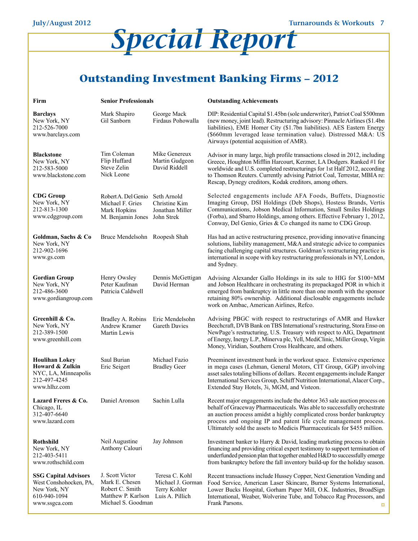# *Special Report*

## <span id="page-6-0"></span>**Outstanding Investment Banking Firms – 2012**

| Firm                                                                                                   | <b>Senior Professionals</b>                                                                      |                                                                        | <b>Outstanding Achievements</b>                                                                                                                                                                                                                                                                                                                                               |
|--------------------------------------------------------------------------------------------------------|--------------------------------------------------------------------------------------------------|------------------------------------------------------------------------|-------------------------------------------------------------------------------------------------------------------------------------------------------------------------------------------------------------------------------------------------------------------------------------------------------------------------------------------------------------------------------|
| <b>Barclays</b><br>New York, NY<br>212-526-7000<br>www.barclays.com                                    | Mark Shapiro<br>Gil Sanborn                                                                      | George Mack<br>Firdaus Pohowalla                                       | DIP: Residential Capital \$1.45bn (sole underwriter), Patriot Coal \$500mm<br>(new money, joint lead). Restructuring advisory: Pinnacle Airlines (\$1.4bn<br>liabilities), EME Homer City (\$1.7bn liabilities). AES Eastern Energy<br>(\$660mm leveraged lease termination value). Distressed M&A: US<br>Airways (potential acquisition of AMR).                             |
| <b>Blackstone</b><br>New York, NY<br>212-583-5000<br>www.blackstone.com                                | Tim Coleman<br>Flip Huffard<br>Steve Zelin<br>Nick Leone                                         | Mike Genereux<br>Martin Gudgeon<br>David Riddell                       | Advisor in many large, high profile transactions closed in 2012, including<br>Greece, Houghton Mifflin Harcourt, Kerzner, LA Dodgers. Ranked #1 for<br>worldwide and U.S. completed restructurings for 1st Half 2012, according<br>to Thomson Reuters. Currently advising Patriot Coal, Terrestar, MBIA re:<br>Rescap, Dynegy creditors, Kodak creditors, among others.       |
| <b>CDG</b> Group<br>New York, NY<br>212-813-1300<br>www.cdggroup.com                                   | Robert A. Del Genio<br>Michael F. Gries<br>Mark Hopkins<br>M. Benjamin Jones John Strek          | Seth Arnold<br>Christine Kim<br>Jonathan Miller                        | Selected engagements include AFA Foods, Buffets, Diagnostic<br>Imaging Group, DSI Holdings (Deb Shops), Hostess Brands, Vertis<br>Communications, Jobson Medical Information, Small Smiles Holdings<br>(Forba), and Sbarro Holdings, among others. Effective February 1, 2012,<br>Conway, Del Genio, Gries & Co changed its name to CDG Group.                                |
| Goldman, Sachs & Co<br>New York, NY<br>212-902-1696<br>www.gs.com                                      | Bruce Mendelsohn Roopesh Shah                                                                    |                                                                        | Has had an active restructuring presence, providing innovative financing<br>solutions, liability management, M&A and strategic advice to companies<br>facing challenging capital structures. Goldman's restructuring practice is<br>international in scope with key restructuring professionals in NY, London,<br>and Sydney.                                                 |
| <b>Gordian Group</b><br>New York, NY<br>212-486-3600<br>www.gordiangroup.com                           | Henry Owsley<br>Peter Kaufman<br>Patricia Caldwell                                               | Dennis McGettigan<br>David Herman                                      | Advising Alexander Gallo Holdings in its sale to HIG for \$100+MM<br>and Jobson Healthcare in orchestrating its prepackaged POR in which it<br>emerged from bankruptcy in little more than one month with the sponsor<br>retaining 80% ownership. Additional disclosable engagements include<br>work on Ambac, American Airlines, Refco.                                      |
| Greenhill & Co.<br>New York, NY<br>212-389-1500<br>www.greenhill.com                                   | Bradley A. Robins<br>Andrew Kramer<br>Martin Lewis                                               | Eric Mendelsohn<br><b>Gareth Davies</b>                                | Advising PBGC with respect to restructurings of AMR and Hawker<br>Beechcraft, DVB Bank on TBS International's restructuring, Stora Enso on<br>NewPage's restructuring, U.S. Treasury with respect to AIG, Department<br>of Energy, Inergy L.P., Minerva plc, Yell, MediClinic, Miller Group, Virgin<br>Money, Viridian, Southern Cross Healthcare, and others.                |
| <b>Houlihan Lokey</b><br>Howard & Zulkin<br>NYC, LA, Minneapolis<br>212-497-4245<br>www.hlhz.com       | Saul Burian<br>Eric Seigert                                                                      | Michael Fazio<br><b>Bradley Geer</b>                                   | Preeminent investment bank in the workout space. Extensive experience<br>in mega cases (Lehman, General Motors, CIT Group, GGP) involving<br>asset sales totaling billions of dollars. Recent engagements include Ranger<br>International Services Group, Schiff Nutrition International, Alacer Corp.,<br>Extended Stay Hotels, 3i, MGM, and Visteon.                        |
| Lazard Freres & Co.<br>Chicago, IL<br>312-407-6640<br>www.lazard.com                                   | Daniel Aronson                                                                                   | Sachin Lulla                                                           | Recent major engagements include the debtor 363 sale auction process on<br>behalf of Graceway Pharmaceuticals. Was able to successfully orchestrate<br>an auction process amidst a highly complicated cross border bankruptcy<br>process and ongoing IP and patent life cycle management process.<br>Ultimately sold the assets to Medicis Pharmaceuticals for \$455 million. |
| Rothshild<br>New York, NY<br>212-403-5411<br>www.rothschild.com                                        | Neil Augustine<br>Anthony Calouri                                                                | Jay Johnson                                                            | Investment banker to Harry & David, leading marketing process to obtain<br>financing and providing critical expert testimony to support termination of<br>underfunded pension plan that together enabled H&D to successfully emerge<br>from bankruptcy before the fall inventory build-up for the holiday season.                                                             |
| <b>SSG Capital Advisors</b><br>West Conshohocken, PA,<br>New York, NY<br>610-940-1094<br>www.ssgca.com | J. Scott Victor<br>Mark E. Chesen<br>Robert C. Smith<br>Matthew P. Karlson<br>Michael S. Goodman | Teresa C. Kohl<br>Michael J. Gorman<br>Terry Kohler<br>Luis A. Pillich | Recent transactions include Hussey Copper, Next Generation Vending and<br>Food Service, American Laser Skincare, Burner Systems International,<br>Lower Bucks Hospital, Gorham Paper Mill, O.K. Industries, BroadSign<br>International, Weaber, Wolverine Tube, and Tobacco Rag Processors, and<br>Frank Parsons.                                                             |